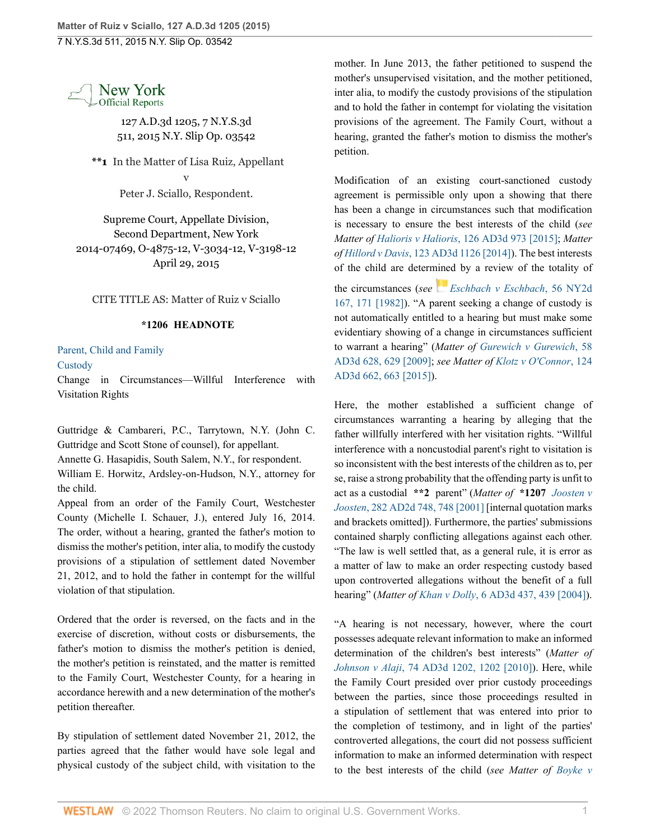7 N.Y.S.3d 511, 2015 N.Y. Slip Op. 03542



127 A.D.3d 1205, 7 N.Y.S.3d 511, 2015 N.Y. Slip Op. 03542

**\*\*1** In the Matter of Lisa Ruiz, Appellant v Peter J. Sciallo, Respondent.

Supreme Court, Appellate Division, Second Department, New York 2014-07469, O-4875-12, V-3034-12, V-3198-12 April 29, 2015

CITE TITLE AS: Matter of Ruiz v Sciallo

## **\*1206 HEADNOTE**

## [Parent, Child and Family](http://www.westlaw.com/Browse/Home/NYOKeyNumber/NY00000012168/View.html?docGuid=I6f6734ebef1a11e4b4bafa136b480ad2&contentType=nyoDigest2and3&originationContext=document&transitionType=Document&vr=3.0&rs=cblt1.0&contextData=(sc.Search))

**[Custody](http://www.westlaw.com/Browse/Home/NYOKeyNumber/NY00000012169/View.html?docGuid=I6f6734ebef1a11e4b4bafa136b480ad2&contentType=nyoDigest2and3&originationContext=document&transitionType=Document&vr=3.0&rs=cblt1.0&contextData=(sc.Search))** 

Change in Circumstances—Willful Interference with Visitation Rights

Guttridge & Cambareri, P.C., Tarrytown, N.Y. (John C. Guttridge and Scott Stone of counsel), for appellant.

Annette G. Hasapidis, South Salem, N.Y., for respondent.

William E. Horwitz, Ardsley-on-Hudson, N.Y., attorney for the child.

Appeal from an order of the Family Court, Westchester County (Michelle I. Schauer, J.), entered July 16, 2014. The order, without a hearing, granted the father's motion to dismiss the mother's petition, inter alia, to modify the custody provisions of a stipulation of settlement dated November 21, 2012, and to hold the father in contempt for the willful violation of that stipulation.

Ordered that the order is reversed, on the facts and in the exercise of discretion, without costs or disbursements, the father's motion to dismiss the mother's petition is denied, the mother's petition is reinstated, and the matter is remitted to the Family Court, Westchester County, for a hearing in accordance herewith and a new determination of the mother's petition thereafter.

By stipulation of settlement dated November 21, 2012, the parties agreed that the father would have sole legal and physical custody of the subject child, with visitation to the

mother. In June 2013, the father petitioned to suspend the mother's unsupervised visitation, and the mother petitioned, inter alia, to modify the custody provisions of the stipulation and to hold the father in contempt for violating the visitation provisions of the agreement. The Family Court, without a hearing, granted the father's motion to dismiss the mother's petition.

Modification of an existing court-sanctioned custody agreement is permissible only upon a showing that there has been a change in circumstances such that modification is necessary to ensure the best interests of the child (*see Matter of Halioris v Halioris*[, 126 AD3d 973 \[2015\]](http://www.westlaw.com/Link/Document/FullText?findType=Y&pubNum=0007049&cite=126AD3D973&originatingDoc=I6f6734ebef1a11e4b4bafa136b480ad2&refType=RP&originationContext=document&vr=3.0&rs=cblt1.0&transitionType=DocumentItem&contextData=(sc.Search)); *Matter of Hillord v Davis*[, 123 AD3d 1126 \[2014\]](http://www.westlaw.com/Link/Document/FullText?findType=Y&pubNum=0007049&cite=123AD3D1126&originatingDoc=I6f6734ebef1a11e4b4bafa136b480ad2&refType=RP&originationContext=document&vr=3.0&rs=cblt1.0&transitionType=DocumentItem&contextData=(sc.Search))). The best interests of the child are determined by a review of the totality of the circumstances (*see [Eschbach v Eschbach](http://www.westlaw.com/Link/Document/FullText?findType=Y&pubNum=0000605&cite=56NY2D167&originatingDoc=I6f6734ebef1a11e4b4bafa136b480ad2&refType=RP&fi=co_pp_sp_605_171&originationContext=document&vr=3.0&rs=cblt1.0&transitionType=DocumentItem&contextData=(sc.Search)#co_pp_sp_605_171)*, 56 NY2d [167, 171 \[1982\]\)](http://www.westlaw.com/Link/Document/FullText?findType=Y&pubNum=0000605&cite=56NY2D167&originatingDoc=I6f6734ebef1a11e4b4bafa136b480ad2&refType=RP&fi=co_pp_sp_605_171&originationContext=document&vr=3.0&rs=cblt1.0&transitionType=DocumentItem&contextData=(sc.Search)#co_pp_sp_605_171). "A parent seeking a change of custody is not automatically entitled to a hearing but must make some evidentiary showing of a change in circumstances sufficient to warrant a hearing" (*Matter of [Gurewich v Gurewich](http://www.westlaw.com/Link/Document/FullText?findType=Y&pubNum=0007049&cite=58AD3D628&originatingDoc=I6f6734ebef1a11e4b4bafa136b480ad2&refType=RP&fi=co_pp_sp_7049_629&originationContext=document&vr=3.0&rs=cblt1.0&transitionType=DocumentItem&contextData=(sc.Search)#co_pp_sp_7049_629)*, 58 [AD3d 628, 629 \[2009\]](http://www.westlaw.com/Link/Document/FullText?findType=Y&pubNum=0007049&cite=58AD3D628&originatingDoc=I6f6734ebef1a11e4b4bafa136b480ad2&refType=RP&fi=co_pp_sp_7049_629&originationContext=document&vr=3.0&rs=cblt1.0&transitionType=DocumentItem&contextData=(sc.Search)#co_pp_sp_7049_629); *see Matter of [Klotz v O'Connor](http://www.westlaw.com/Link/Document/FullText?findType=Y&pubNum=0007049&cite=124AD3D662&originatingDoc=I6f6734ebef1a11e4b4bafa136b480ad2&refType=RP&fi=co_pp_sp_7049_663&originationContext=document&vr=3.0&rs=cblt1.0&transitionType=DocumentItem&contextData=(sc.Search)#co_pp_sp_7049_663)*, 124 [AD3d 662, 663 \[2015\]](http://www.westlaw.com/Link/Document/FullText?findType=Y&pubNum=0007049&cite=124AD3D662&originatingDoc=I6f6734ebef1a11e4b4bafa136b480ad2&refType=RP&fi=co_pp_sp_7049_663&originationContext=document&vr=3.0&rs=cblt1.0&transitionType=DocumentItem&contextData=(sc.Search)#co_pp_sp_7049_663)).

Here, the mother established a sufficient change of circumstances warranting a hearing by alleging that the father willfully interfered with her visitation rights. "Willful interference with a noncustodial parent's right to visitation is so inconsistent with the best interests of the children as to, per se, raise a strong probability that the offending party is unfit to act as a custodial **\*\*2** parent" (*Matter of* **\*1207** *[Joosten v](http://www.westlaw.com/Link/Document/FullText?findType=Y&pubNum=0000155&cite=282APPDIV2D748&originatingDoc=I6f6734ebef1a11e4b4bafa136b480ad2&refType=RP&originationContext=document&vr=3.0&rs=cblt1.0&transitionType=DocumentItem&contextData=(sc.Search)) Joosten*[, 282 AD2d 748, 748 \[2001\]](http://www.westlaw.com/Link/Document/FullText?findType=Y&pubNum=0000155&cite=282APPDIV2D748&originatingDoc=I6f6734ebef1a11e4b4bafa136b480ad2&refType=RP&originationContext=document&vr=3.0&rs=cblt1.0&transitionType=DocumentItem&contextData=(sc.Search)) [internal quotation marks and brackets omitted]). Furthermore, the parties' submissions contained sharply conflicting allegations against each other. "The law is well settled that, as a general rule, it is error as a matter of law to make an order respecting custody based upon controverted allegations without the benefit of a full hearing" (*Matter of Khan v Dolly*[, 6 AD3d 437, 439 \[2004\]](http://www.westlaw.com/Link/Document/FullText?findType=Y&pubNum=0007049&cite=6AD3D437&originatingDoc=I6f6734ebef1a11e4b4bafa136b480ad2&refType=RP&fi=co_pp_sp_7049_439&originationContext=document&vr=3.0&rs=cblt1.0&transitionType=DocumentItem&contextData=(sc.Search)#co_pp_sp_7049_439)).

"A hearing is not necessary, however, where the court possesses adequate relevant information to make an informed determination of the children's best interests" (*Matter of Johnson v Alaji*[, 74 AD3d 1202, 1202 \[2010\]](http://www.westlaw.com/Link/Document/FullText?findType=Y&pubNum=0007049&cite=74AD3D1202&originatingDoc=I6f6734ebef1a11e4b4bafa136b480ad2&refType=RP&originationContext=document&vr=3.0&rs=cblt1.0&transitionType=DocumentItem&contextData=(sc.Search))). Here, while the Family Court presided over prior custody proceedings between the parties, since those proceedings resulted in a stipulation of settlement that was entered into prior to the completion of testimony, and in light of the parties' controverted allegations, the court did not possess sufficient information to make an informed determination with respect to the best interests of the child (*see Matter of [Boyke v](http://www.westlaw.com/Link/Document/FullText?findType=Y&pubNum=0007049&cite=125AD3D854&originatingDoc=I6f6734ebef1a11e4b4bafa136b480ad2&refType=RP&originationContext=document&vr=3.0&rs=cblt1.0&transitionType=DocumentItem&contextData=(sc.Search))*